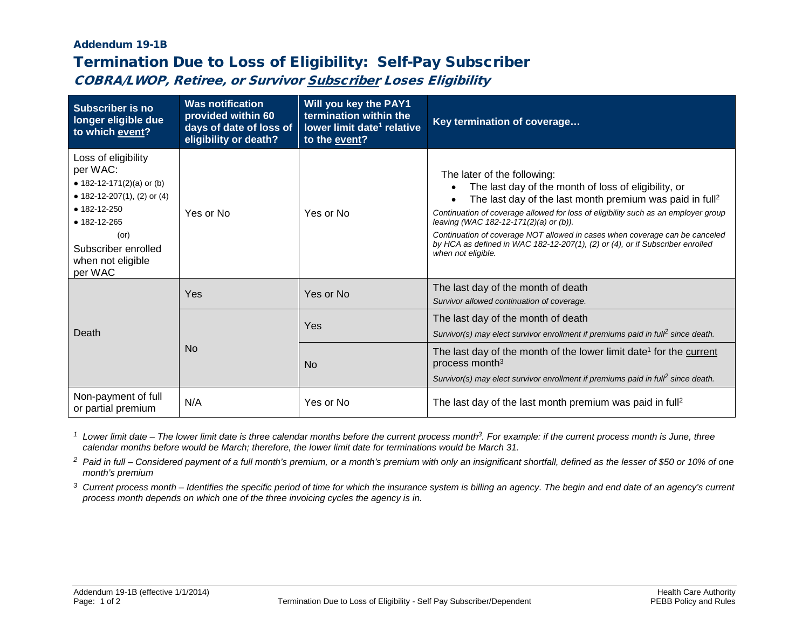## Addendum 19-1B Termination Due to Loss of Eligibility: Self-Pay Subscriber

COBRA/LWOP, Retiree, or Survivor Subscriber Loses Eligibility

| <b>Subscriber is no</b><br>longer eligible due<br>to which event?                                                                                                                                      | <b>Was notification</b><br>provided within 60<br>days of date of loss of<br>eligibility or death? | Will you key the PAY1<br>termination within the<br>lower limit date <sup>1</sup> relative<br>to the event? | Key termination of coverage                                                                                                                                                                                                                                                                                                                                                                                                                                                       |
|--------------------------------------------------------------------------------------------------------------------------------------------------------------------------------------------------------|---------------------------------------------------------------------------------------------------|------------------------------------------------------------------------------------------------------------|-----------------------------------------------------------------------------------------------------------------------------------------------------------------------------------------------------------------------------------------------------------------------------------------------------------------------------------------------------------------------------------------------------------------------------------------------------------------------------------|
| Loss of eligibility<br>per WAC:<br>• 182-12-171(2)(a) or (b)<br>• 182-12-207(1), (2) or (4)<br>$• 182 - 12 - 250$<br>• 182-12-265<br>$($ or $)$<br>Subscriber enrolled<br>when not eligible<br>per WAC | Yes or No                                                                                         | Yes or No                                                                                                  | The later of the following:<br>The last day of the month of loss of eligibility, or<br>The last day of the last month premium was paid in full <sup>2</sup><br>Continuation of coverage allowed for loss of eligibility such as an employer group<br>leaving (WAC 182-12-171(2)(a) or (b)).<br>Continuation of coverage NOT allowed in cases when coverage can be canceled<br>by HCA as defined in WAC 182-12-207(1), (2) or (4), or if Subscriber enrolled<br>when not eligible. |
| Death                                                                                                                                                                                                  | Yes                                                                                               | Yes or No                                                                                                  | The last day of the month of death<br>Survivor allowed continuation of coverage.                                                                                                                                                                                                                                                                                                                                                                                                  |
|                                                                                                                                                                                                        | <b>No</b>                                                                                         | Yes                                                                                                        | The last day of the month of death<br>Survivor(s) may elect survivor enrollment if premiums paid in full <sup>2</sup> since death.                                                                                                                                                                                                                                                                                                                                                |
|                                                                                                                                                                                                        |                                                                                                   | <b>No</b>                                                                                                  | The last day of the month of the lower limit date <sup>1</sup> for the current<br>process month <sup>3</sup><br>Survivor(s) may elect survivor enrollment if premiums paid in full <sup>2</sup> since death.                                                                                                                                                                                                                                                                      |
| Non-payment of full<br>or partial premium                                                                                                                                                              | N/A                                                                                               | Yes or No                                                                                                  | The last day of the last month premium was paid in full <sup>2</sup>                                                                                                                                                                                                                                                                                                                                                                                                              |

*<sup>1</sup> Lower limit date – The lower limit date is three calendar months before the current process month3. For example: if the current process month is June, three calendar months before would be March; therefore, the lower limit date for terminations would be March 31.*

*<sup>2</sup> Paid in full – Considered payment of a full month's premium, or a month's premium with only an insignificant shortfall, defined as the lesser of \$50 or 10% of one month's premium*

*<sup>3</sup> Current process month – Identifies the specific period of time for which the insurance system is billing an agency. The begin and end date of an agency's current process month depends on which one of the three invoicing cycles the agency is in.*